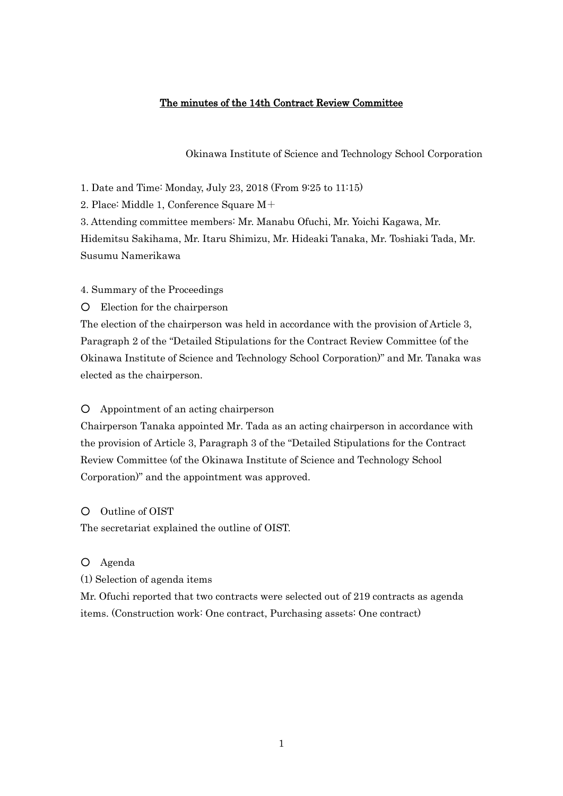## The minutes of the 14th Contract Review Committee

Okinawa Institute of Science and Technology School Corporation

1. Date and Time: Monday, July 23, 2018 (From 9:25 to 11:15)

2. Place: Middle 1, Conference Square M+

3. Attending committee members: Mr. Manabu Ofuchi, Mr. Yoichi Kagawa, Mr.

Hidemitsu Sakihama, Mr. Itaru Shimizu, Mr. Hideaki Tanaka, Mr. Toshiaki Tada, Mr. Susumu Namerikawa

4. Summary of the Proceedings

○ Election for the chairperson

The election of the chairperson was held in accordance with the provision of Article 3, Paragraph 2 of the "Detailed Stipulations for the Contract Review Committee (of the Okinawa Institute of Science and Technology School Corporation)" and Mr. Tanaka was elected as the chairperson.

## ○ Appointment of an acting chairperson

Chairperson Tanaka appointed Mr. Tada as an acting chairperson in accordance with the provision of Article 3, Paragraph 3 of the "Detailed Stipulations for the Contract Review Committee (of the Okinawa Institute of Science and Technology School Corporation)" and the appointment was approved.

○ Outline of OIST

The secretariat explained the outline of OIST.

○ Agenda

(1) Selection of agenda items

Mr. Ofuchi reported that two contracts were selected out of 219 contracts as agenda items. (Construction work: One contract, Purchasing assets: One contract)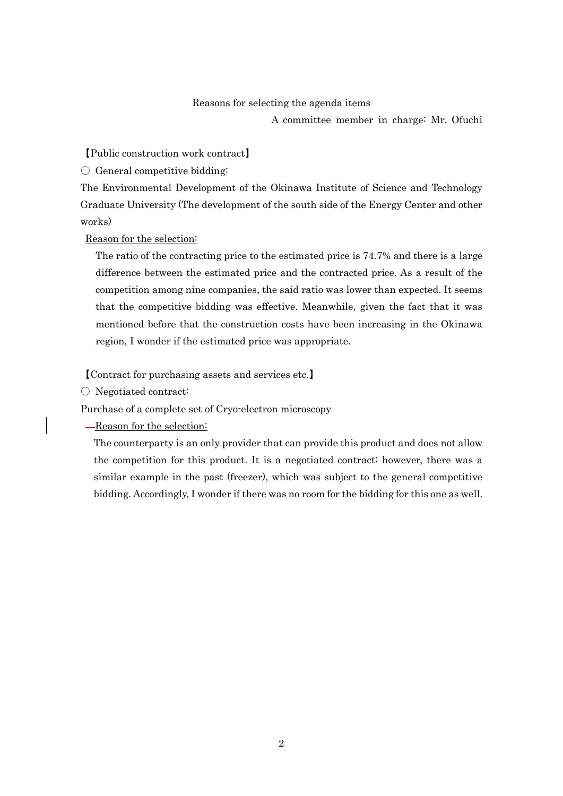## Reasons for selecting the agenda items

A committee member in charge: Mr. Ofuchi

【Public construction work contract】

 $\bigcirc$  General competitive bidding:

The Environmental Development of the Okinawa Institute of Science and Technology Graduate University (The development of the south side of the Energy Center and other works)

Reason for the selection:

The ratio of the contracting price to the estimated price is 74.7% and there is a large difference between the estimated price and the contracted price. As a result of the competition among nine companies, the said ratio was lower than expected. It seems that the competitive bidding was effective. Meanwhile, given the fact that it was mentioned before that the construction costs have been increasing in the Okinawa region, I wonder if the estimated price was appropriate.

【Contract for purchasing assets and services etc.】

〇 Negotiated contract:

Purchase of a complete set of Cryo-electron microscopy

Reason for the selection:

The counterparty is an only provider that can provide this product and does not allow the competition for this product. It is a negotiated contract; however, there was a similar example in the past (freezer), which was subject to the general competitive bidding. Accordingly, I wonder if there was no room for the bidding for this one as well.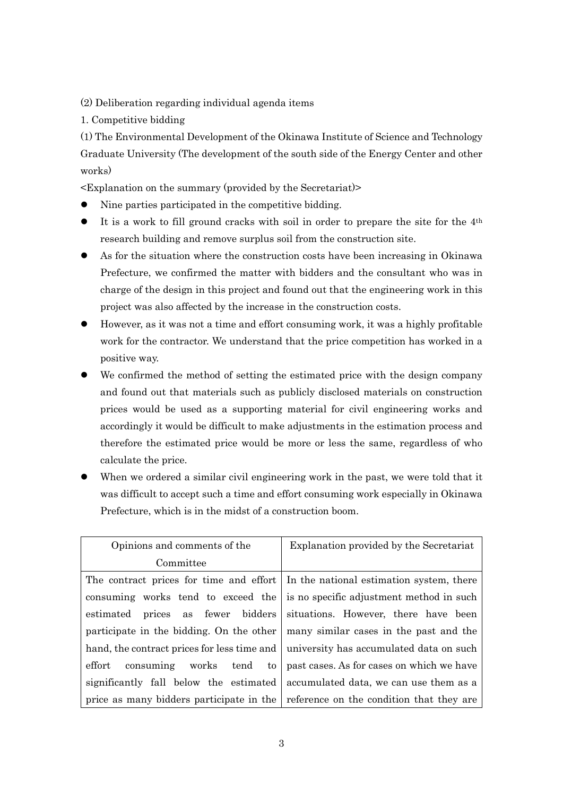(2) Deliberation regarding individual agenda items

1. Competitive bidding

(1) The Environmental Development of the Okinawa Institute of Science and Technology Graduate University (The development of the south side of the Energy Center and other works)

<Explanation on the summary (provided by the Secretariat)>

- Nine parties participated in the competitive bidding.
- It is a work to fill ground cracks with soil in order to prepare the site for the 4th research building and remove surplus soil from the construction site.
- As for the situation where the construction costs have been increasing in Okinawa Prefecture, we confirmed the matter with bidders and the consultant who was in charge of the design in this project and found out that the engineering work in this project was also affected by the increase in the construction costs.
- However, as it was not a time and effort consuming work, it was a highly profitable work for the contractor. We understand that the price competition has worked in a positive way.
- We confirmed the method of setting the estimated price with the design company and found out that materials such as publicly disclosed materials on construction prices would be used as a supporting material for civil engineering works and accordingly it would be difficult to make adjustments in the estimation process and therefore the estimated price would be more or less the same, regardless of who calculate the price.
- When we ordered a similar civil engineering work in the past, we were told that it was difficult to accept such a time and effort consuming work especially in Okinawa Prefecture, which is in the midst of a construction boom.

| Opinions and comments of the                | Explanation provided by the Secretariat                                          |
|---------------------------------------------|----------------------------------------------------------------------------------|
| Committee                                   |                                                                                  |
|                                             | The contract prices for time and effort In the national estimation system, there |
| consuming works tend to exceed the          | is no specific adjustment method in such                                         |
| estimated prices as fewer bidders           | situations. However, there have been                                             |
| participate in the bidding. On the other    | many similar cases in the past and the                                           |
| hand, the contract prices for less time and | university has accumulated data on such                                          |
| $_{\rm effort}$<br>consuming works tend to  | past cases. As for cases on which we have                                        |
| significantly fall below the estimated      | accumulated data, we can use them as a                                           |
| price as many bidders participate in the    | reference on the condition that they are                                         |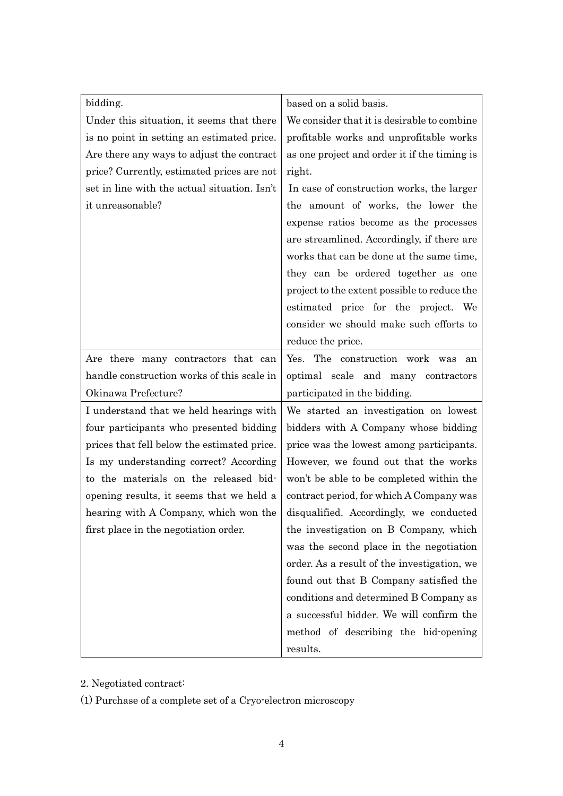| bidding.                                     | based on a solid basis.                      |
|----------------------------------------------|----------------------------------------------|
| Under this situation, it seems that there    | We consider that it is desirable to combine  |
| is no point in setting an estimated price.   | profitable works and unprofitable works      |
| Are there any ways to adjust the contract    | as one project and order it if the timing is |
| price? Currently, estimated prices are not   | right.                                       |
| set in line with the actual situation. Isn't | In case of construction works, the larger    |
| it unreasonable?                             | the amount of works, the lower the           |
|                                              | expense ratios become as the processes       |
|                                              | are streamlined. Accordingly, if there are   |
|                                              | works that can be done at the same time,     |
|                                              | they can be ordered together as one          |
|                                              | project to the extent possible to reduce the |
|                                              | estimated price for the project. We          |
|                                              | consider we should make such efforts to      |
|                                              | reduce the price.                            |
| Are there many contractors that can          | Yes. The construction work was<br>an         |
| handle construction works of this scale in   | optimal scale and many contractors           |
| Okinawa Prefecture?                          | participated in the bidding.                 |
| I understand that we held hearings with      | We started an investigation on lowest        |
| four participants who presented bidding      | bidders with A Company whose bidding         |
| prices that fell below the estimated price.  | price was the lowest among participants.     |
| Is my understanding correct? According       | However, we found out that the works         |
| to the materials on the released bid-        | won't be able to be completed within the     |
| opening results, it seems that we held a     | contract period, for which A Company was     |
| hearing with A Company, which won the        | disqualified. Accordingly, we conducted      |
| first place in the negotiation order.        | the investigation on B Company, which        |
|                                              | was the second place in the negotiation      |
|                                              | order. As a result of the investigation, we  |
|                                              | found out that B Company satisfied the       |
|                                              | conditions and determined B Company as       |
|                                              | a successful bidder. We will confirm the     |
|                                              | method of describing the bid-opening         |
|                                              | results.                                     |

2. Negotiated contract:

(1) Purchase of a complete set of a Cryo-electron microscopy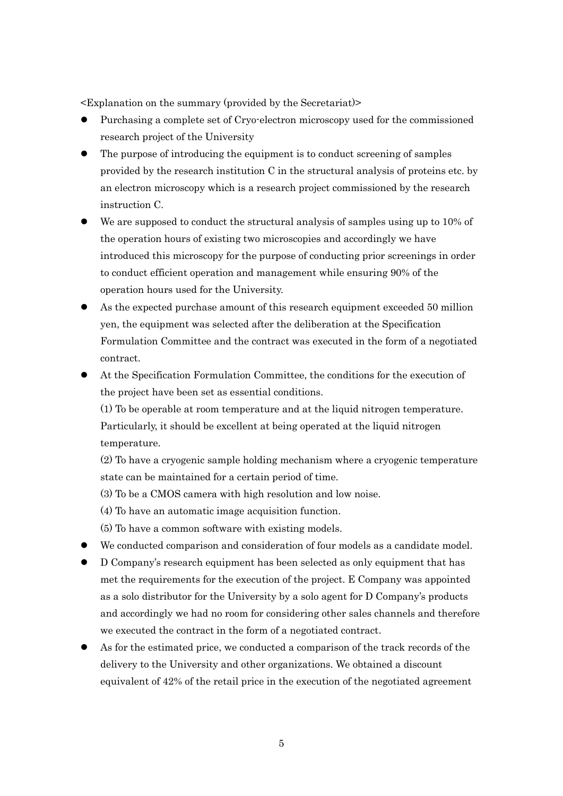<Explanation on the summary (provided by the Secretariat)>

- Purchasing a complete set of Cryo-electron microscopy used for the commissioned research project of the University
- The purpose of introducing the equipment is to conduct screening of samples provided by the research institution C in the structural analysis of proteins etc. by an electron microscopy which is a research project commissioned by the research instruction C.
- We are supposed to conduct the structural analysis of samples using up to 10% of the operation hours of existing two microscopies and accordingly we have introduced this microscopy for the purpose of conducting prior screenings in order to conduct efficient operation and management while ensuring 90% of the operation hours used for the University.
- As the expected purchase amount of this research equipment exceeded 50 million yen, the equipment was selected after the deliberation at the Specification Formulation Committee and the contract was executed in the form of a negotiated contract.
- At the Specification Formulation Committee, the conditions for the execution of the project have been set as essential conditions.

(1) To be operable at room temperature and at the liquid nitrogen temperature. Particularly, it should be excellent at being operated at the liquid nitrogen temperature.

(2) To have a cryogenic sample holding mechanism where a cryogenic temperature state can be maintained for a certain period of time.

(3) To be a CMOS camera with high resolution and low noise.

(4) To have an automatic image acquisition function.

(5) To have a common software with existing models.

- We conducted comparison and consideration of four models as a candidate model.
- D Company's research equipment has been selected as only equipment that has met the requirements for the execution of the project. E Company was appointed as a solo distributor for the University by a solo agent for D Company's products and accordingly we had no room for considering other sales channels and therefore we executed the contract in the form of a negotiated contract.
- As for the estimated price, we conducted a comparison of the track records of the delivery to the University and other organizations. We obtained a discount equivalent of 42% of the retail price in the execution of the negotiated agreement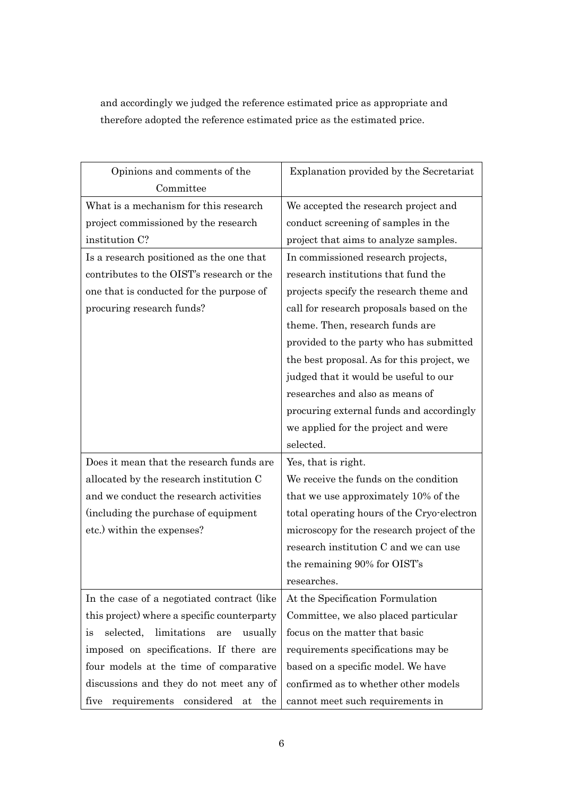and accordingly we judged the reference estimated price as appropriate and therefore adopted the reference estimated price as the estimated price.

| Opinions and comments of the                     | Explanation provided by the Secretariat    |
|--------------------------------------------------|--------------------------------------------|
| Committee                                        |                                            |
| What is a mechanism for this research            | We accepted the research project and       |
| project commissioned by the research             | conduct screening of samples in the        |
| institution C?                                   | project that aims to analyze samples.      |
| Is a research positioned as the one that         | In commissioned research projects,         |
| contributes to the OIST's research or the        | research institutions that fund the        |
| one that is conducted for the purpose of         | projects specify the research theme and    |
| procuring research funds?                        | call for research proposals based on the   |
|                                                  | theme. Then, research funds are            |
|                                                  | provided to the party who has submitted    |
|                                                  | the best proposal. As for this project, we |
|                                                  | judged that it would be useful to our      |
|                                                  | researches and also as means of            |
|                                                  | procuring external funds and accordingly   |
|                                                  | we applied for the project and were        |
|                                                  | selected.                                  |
| Does it mean that the research funds are         | Yes, that is right.                        |
| allocated by the research institution C          | We receive the funds on the condition      |
| and we conduct the research activities           | that we use approximately 10% of the       |
| (including the purchase of equipment             | total operating hours of the Cryo-electron |
| etc.) within the expenses?                       | microscopy for the research project of the |
|                                                  | research institution C and we can use      |
|                                                  | the remaining 90% for OIST's               |
|                                                  | researches.                                |
| In the case of a negotiated contract (like       | At the Specification Formulation           |
| this project) where a specific counterparty      | Committee, we also placed particular       |
| limitations<br>selected,<br>usually<br>are<br>1S | focus on the matter that basic             |
| imposed on specifications. If there are          | requirements specifications may be         |
| four models at the time of comparative           | based on a specific model. We have         |
| discussions and they do not meet any of          | confirmed as to whether other models       |
| requirements considered<br>five<br>the<br>at     | cannot meet such requirements in           |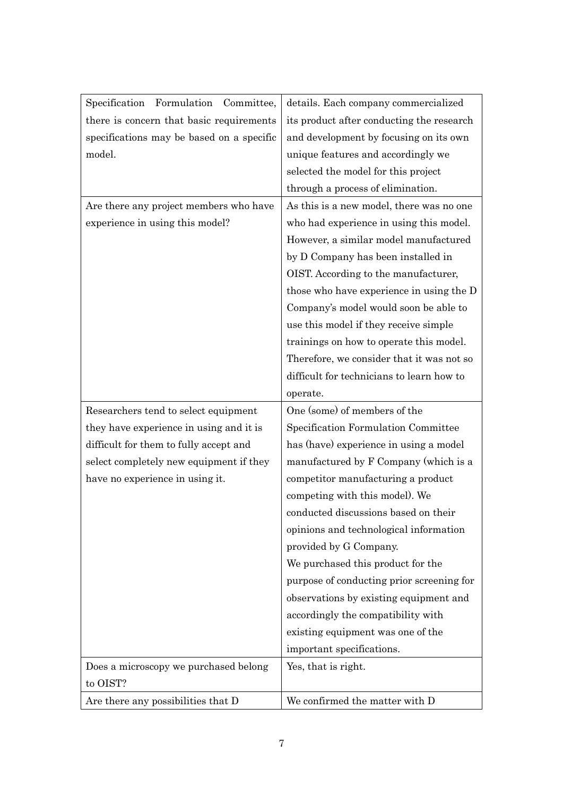| Specification Formulation<br>Committee,   | details. Each company commercialized      |
|-------------------------------------------|-------------------------------------------|
| there is concern that basic requirements  | its product after conducting the research |
| specifications may be based on a specific | and development by focusing on its own    |
| model.                                    | unique features and accordingly we        |
|                                           | selected the model for this project       |
|                                           | through a process of elimination.         |
| Are there any project members who have    | As this is a new model, there was no one  |
| experience in using this model?           | who had experience in using this model.   |
|                                           | However, a similar model manufactured     |
|                                           | by D Company has been installed in        |
|                                           | OIST. According to the manufacturer,      |
|                                           | those who have experience in using the D  |
|                                           | Company's model would soon be able to     |
|                                           | use this model if they receive simple     |
|                                           | trainings on how to operate this model.   |
|                                           | Therefore, we consider that it was not so |
|                                           | difficult for technicians to learn how to |
|                                           | operate.                                  |
| Researchers tend to select equipment      | One (some) of members of the              |
|                                           |                                           |
| they have experience in using and it is   | Specification Formulation Committee       |
| difficult for them to fully accept and    | has (have) experience in using a model    |
| select completely new equipment if they   | manufactured by F Company (which is a     |
| have no experience in using it.           | competitor manufacturing a product        |
|                                           | competing with this model). We            |
|                                           | conducted discussions based on their      |
|                                           | opinions and technological information    |
|                                           | provided by G Company.                    |
|                                           | We purchased this product for the         |
|                                           | purpose of conducting prior screening for |
|                                           | observations by existing equipment and    |
|                                           | accordingly the compatibility with        |
|                                           | existing equipment was one of the         |
|                                           | important specifications.                 |
| Does a microscopy we purchased belong     | Yes, that is right.                       |
| to OIST?                                  |                                           |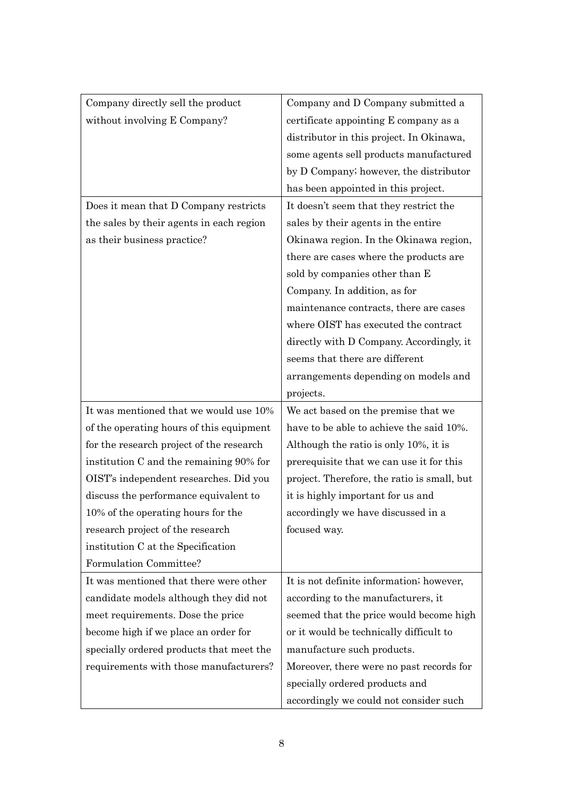| Company directly sell the product        | Company and D Company submitted a           |
|------------------------------------------|---------------------------------------------|
| without involving E Company?             | certificate appointing E company as a       |
|                                          | distributor in this project. In Okinawa,    |
|                                          | some agents sell products manufactured      |
|                                          | by D Company; however, the distributor      |
|                                          | has been appointed in this project.         |
| Does it mean that D Company restricts    | It doesn't seem that they restrict the      |
| the sales by their agents in each region | sales by their agents in the entire         |
| as their business practice?              | Okinawa region. In the Okinawa region,      |
|                                          | there are cases where the products are      |
|                                          | sold by companies other than E              |
|                                          | Company. In addition, as for                |
|                                          | maintenance contracts, there are cases      |
|                                          | where OIST has executed the contract        |
|                                          | directly with D Company. Accordingly, it    |
|                                          | seems that there are different              |
|                                          | arrangements depending on models and        |
|                                          | projects.                                   |
|                                          |                                             |
| It was mentioned that we would use 10%   | We act based on the premise that we         |
| of the operating hours of this equipment | have to be able to achieve the said 10%.    |
| for the research project of the research | Although the ratio is only 10%, it is       |
| institution C and the remaining 90% for  | prerequisite that we can use it for this    |
| OIST's independent researches. Did you   | project. Therefore, the ratio is small, but |
| discuss the performance equivalent to    | it is highly important for us and           |
| 10% of the operating hours for the       | accordingly we have discussed in a          |
| research project of the research         | focused way.                                |
| institution C at the Specification       |                                             |
| Formulation Committee?                   |                                             |
| It was mentioned that there were other   | It is not definite information; however,    |
| candidate models although they did not   | according to the manufacturers, it          |
| meet requirements. Dose the price        | seemed that the price would become high     |
| become high if we place an order for     | or it would be technically difficult to     |
| specially ordered products that meet the | manufacture such products.                  |
| requirements with those manufacturers?   | Moreover, there were no past records for    |
|                                          | specially ordered products and              |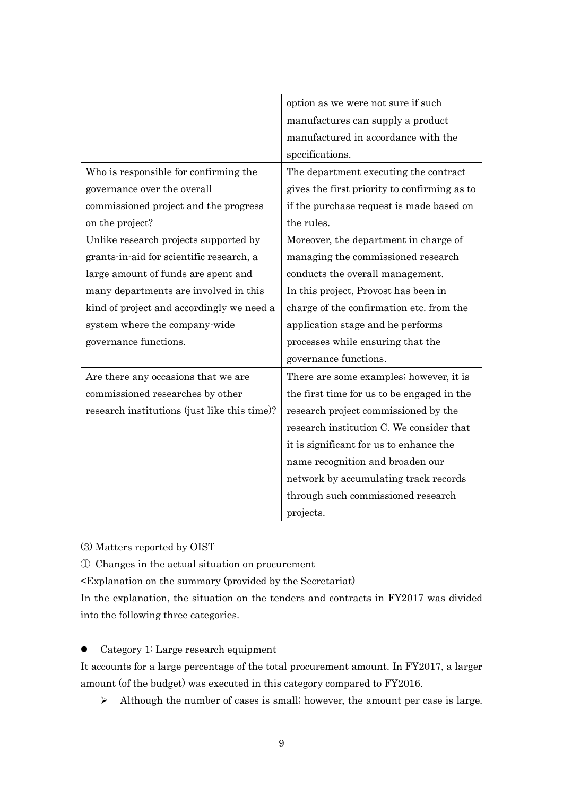|                                              | option as we were not sure if such           |
|----------------------------------------------|----------------------------------------------|
|                                              | manufactures can supply a product            |
|                                              | manufactured in accordance with the          |
|                                              | specifications.                              |
| Who is responsible for confirming the        | The department executing the contract        |
| governance over the overall                  | gives the first priority to confirming as to |
| commissioned project and the progress        | if the purchase request is made based on     |
| on the project?                              | the rules.                                   |
| Unlike research projects supported by        | Moreover, the department in charge of        |
| grants-in-aid for scientific research, a     | managing the commissioned research           |
| large amount of funds are spent and          | conducts the overall management.             |
| many departments are involved in this        | In this project, Provost has been in         |
| kind of project and accordingly we need a    | charge of the confirmation etc. from the     |
| system where the company wide                | application stage and he performs            |
| governance functions.                        | processes while ensuring that the            |
|                                              | governance functions.                        |
| Are there any occasions that we are          | There are some examples; however, it is      |
| commissioned researches by other             | the first time for us to be engaged in the   |
| research institutions (just like this time)? | research project commissioned by the         |
|                                              | research institution C. We consider that     |
|                                              | it is significant for us to enhance the      |
|                                              | name recognition and broaden our             |
|                                              | network by accumulating track records        |
|                                              | through such commissioned research           |
|                                              | projects.                                    |

(3) Matters reported by OIST

① Changes in the actual situation on procurement

<Explanation on the summary (provided by the Secretariat)

In the explanation, the situation on the tenders and contracts in FY2017 was divided into the following three categories.

• Category 1: Large research equipment

It accounts for a large percentage of the total procurement amount. In FY2017, a larger amount (of the budget) was executed in this category compared to FY2016.

Although the number of cases is small; however, the amount per case is large.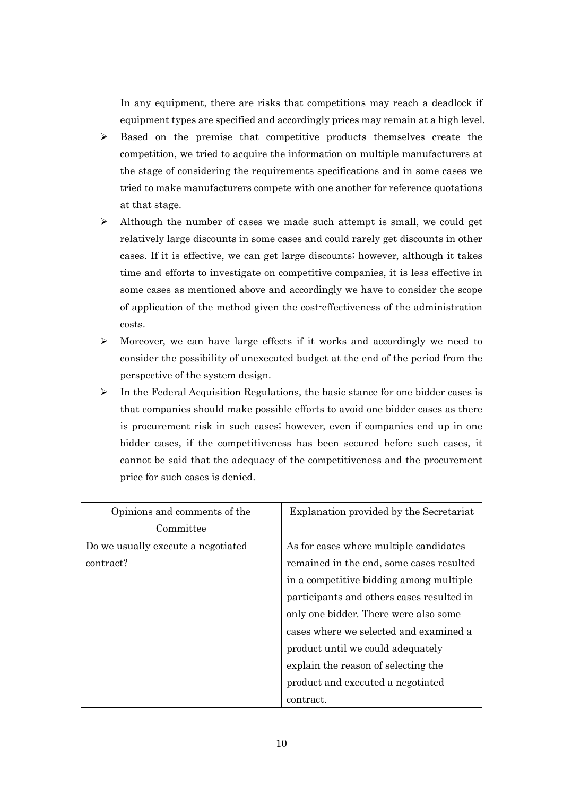In any equipment, there are risks that competitions may reach a deadlock if equipment types are specified and accordingly prices may remain at a high level.

- $\triangleright$  Based on the premise that competitive products themselves create the competition, we tried to acquire the information on multiple manufacturers at the stage of considering the requirements specifications and in some cases we tried to make manufacturers compete with one another for reference quotations at that stage.
- $\triangleright$  Although the number of cases we made such attempt is small, we could get relatively large discounts in some cases and could rarely get discounts in other cases. If it is effective, we can get large discounts; however, although it takes time and efforts to investigate on competitive companies, it is less effective in some cases as mentioned above and accordingly we have to consider the scope of application of the method given the cost-effectiveness of the administration costs.
- $\triangleright$  Moreover, we can have large effects if it works and accordingly we need to consider the possibility of unexecuted budget at the end of the period from the perspective of the system design.
- $\triangleright$  In the Federal Acquisition Regulations, the basic stance for one bidder cases is that companies should make possible efforts to avoid one bidder cases as there is procurement risk in such cases; however, even if companies end up in one bidder cases, if the competitiveness has been secured before such cases, it cannot be said that the adequacy of the competitiveness and the procurement price for such cases is denied.

| Opinions and comments of the       | Explanation provided by the Secretariat   |
|------------------------------------|-------------------------------------------|
| Committee                          |                                           |
| Do we usually execute a negotiated | As for cases where multiple candidates    |
| contract?                          | remained in the end, some cases resulted  |
|                                    | in a competitive bidding among multiple   |
|                                    | participants and others cases resulted in |
|                                    | only one bidder. There were also some     |
|                                    | cases where we selected and examined a    |
|                                    | product until we could adequately         |
|                                    | explain the reason of selecting the       |
|                                    | product and executed a negotiated         |
|                                    | contract.                                 |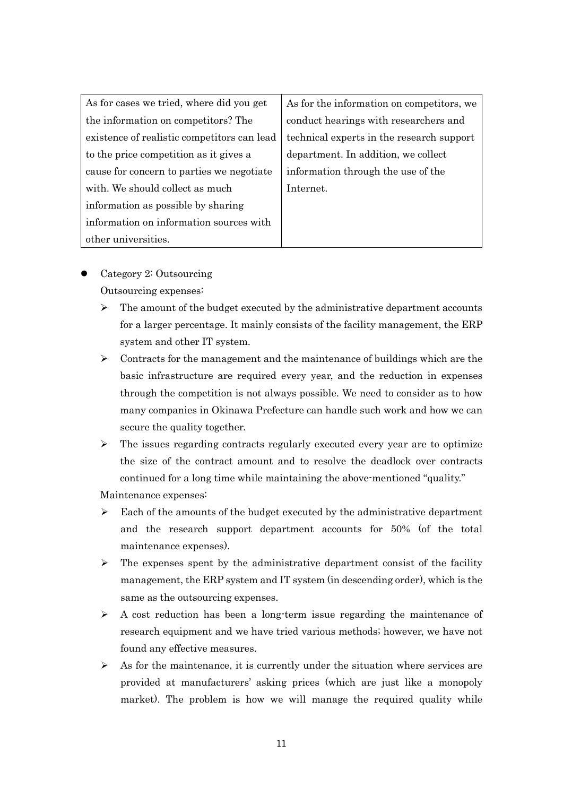| As for cases we tried, where did you get    | As for the information on competitors, we |
|---------------------------------------------|-------------------------------------------|
|                                             |                                           |
| the information on competitors? The         | conduct hearings with researchers and     |
| existence of realistic competitors can lead | technical experts in the research support |
| to the price competition as it gives a      | department. In addition, we collect       |
| cause for concern to parties we negotiate   | information through the use of the        |
| with. We should collect as much             | Internet.                                 |
| information as possible by sharing          |                                           |
| information on information sources with     |                                           |
| other universities.                         |                                           |

- Category 2: Outsourcing Outsourcing expenses:
	- $\triangleright$  The amount of the budget executed by the administrative department accounts for a larger percentage. It mainly consists of the facility management, the ERP system and other IT system.
	- $\geq$  Contracts for the management and the maintenance of buildings which are the basic infrastructure are required every year, and the reduction in expenses through the competition is not always possible. We need to consider as to how many companies in Okinawa Prefecture can handle such work and how we can secure the quality together.
	- $\triangleright$  The issues regarding contracts regularly executed every year are to optimize the size of the contract amount and to resolve the deadlock over contracts continued for a long time while maintaining the above-mentioned "quality."

Maintenance expenses:

- $\triangleright$  Each of the amounts of the budget executed by the administrative department and the research support department accounts for 50% (of the total maintenance expenses).
- $\triangleright$  The expenses spent by the administrative department consist of the facility management, the ERP system and IT system (in descending order), which is the same as the outsourcing expenses.
- $\triangleright$  A cost reduction has been a long-term issue regarding the maintenance of research equipment and we have tried various methods; however, we have not found any effective measures.
- $\triangleright$  As for the maintenance, it is currently under the situation where services are provided at manufacturers' asking prices (which are just like a monopoly market). The problem is how we will manage the required quality while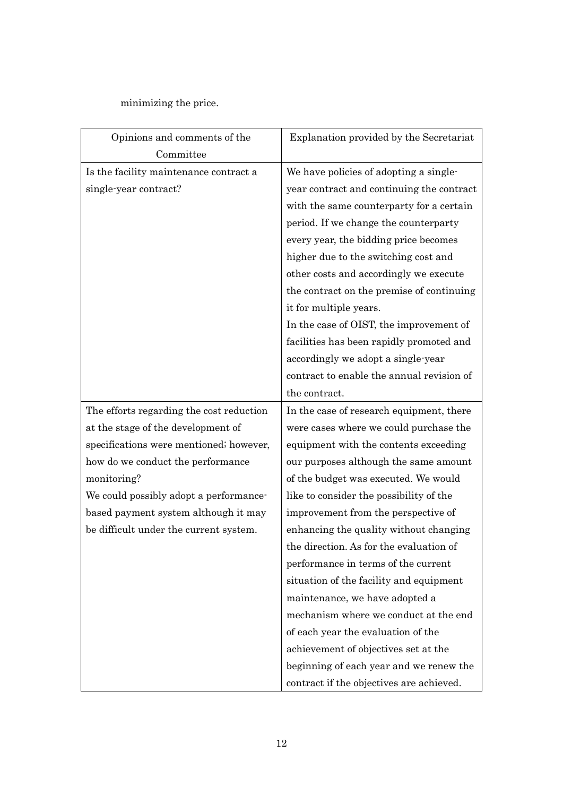## minimizing the price.

| Opinions and comments of the             | Explanation provided by the Secretariat   |
|------------------------------------------|-------------------------------------------|
| Committee                                |                                           |
| Is the facility maintenance contract a   | We have policies of adopting a single-    |
| single-year contract?                    | year contract and continuing the contract |
|                                          | with the same counterparty for a certain  |
|                                          | period. If we change the counterparty     |
|                                          | every year, the bidding price becomes     |
|                                          | higher due to the switching cost and      |
|                                          | other costs and accordingly we execute    |
|                                          | the contract on the premise of continuing |
|                                          | it for multiple years.                    |
|                                          | In the case of OIST, the improvement of   |
|                                          | facilities has been rapidly promoted and  |
|                                          | accordingly we adopt a single-year        |
|                                          | contract to enable the annual revision of |
|                                          | the contract.                             |
| The efforts regarding the cost reduction | In the case of research equipment, there  |
| at the stage of the development of       | were cases where we could purchase the    |
| specifications were mentioned; however,  | equipment with the contents exceeding     |
| how do we conduct the performance        | our purposes although the same amount     |
| monitoring?                              | of the budget was executed. We would      |
| We could possibly adopt a performance-   | like to consider the possibility of the   |
| based payment system although it may     | improvement from the perspective of       |
| be difficult under the current system.   | enhancing the quality without changing    |
|                                          | the direction. As for the evaluation of   |
|                                          | performance in terms of the current       |
|                                          | situation of the facility and equipment   |
|                                          | maintenance, we have adopted a            |
|                                          | mechanism where we conduct at the end     |
|                                          | of each year the evaluation of the        |
|                                          | achievement of objectives set at the      |
|                                          | beginning of each year and we renew the   |
|                                          | contract if the objectives are achieved.  |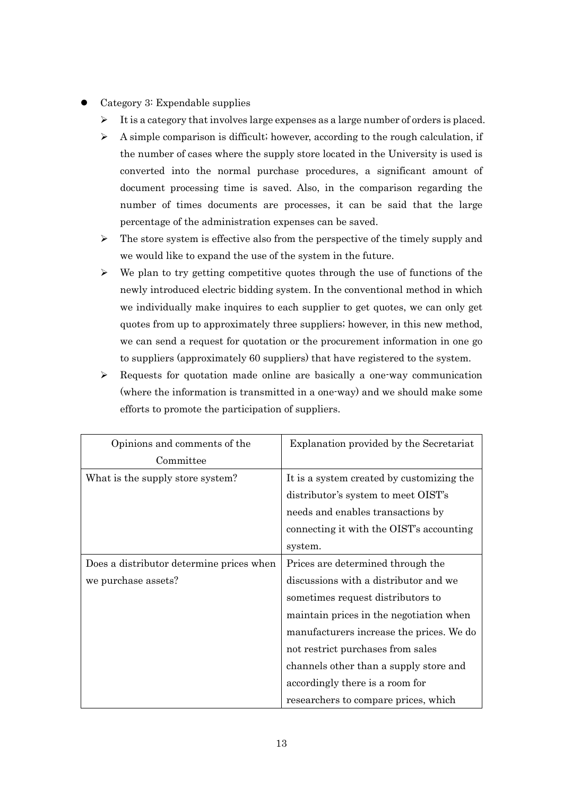- Category 3: Expendable supplies
	- $\triangleright$  It is a category that involves large expenses as a large number of orders is placed.
	- $\triangleright$  A simple comparison is difficult; however, according to the rough calculation, if the number of cases where the supply store located in the University is used is converted into the normal purchase procedures, a significant amount of document processing time is saved. Also, in the comparison regarding the number of times documents are processes, it can be said that the large percentage of the administration expenses can be saved.
	- $\triangleright$  The store system is effective also from the perspective of the timely supply and we would like to expand the use of the system in the future.
	- $\triangleright$  We plan to try getting competitive quotes through the use of functions of the newly introduced electric bidding system. In the conventional method in which we individually make inquires to each supplier to get quotes, we can only get quotes from up to approximately three suppliers; however, in this new method, we can send a request for quotation or the procurement information in one go to suppliers (approximately 60 suppliers) that have registered to the system.
	- $\triangleright$  Requests for quotation made online are basically a one-way communication (where the information is transmitted in a one-way) and we should make some efforts to promote the participation of suppliers.

| Opinions and comments of the             | Explanation provided by the Secretariat   |
|------------------------------------------|-------------------------------------------|
| Committee                                |                                           |
| What is the supply store system?         | It is a system created by customizing the |
|                                          | distributor's system to meet OIST's       |
|                                          | needs and enables transactions by         |
|                                          | connecting it with the OIST's accounting  |
|                                          | system.                                   |
| Does a distributor determine prices when | Prices are determined through the         |
| we purchase assets?                      | discussions with a distributor and we     |
|                                          | sometimes request distributors to         |
|                                          | maintain prices in the negotiation when   |
|                                          | manufacturers increase the prices. We do  |
|                                          | not restrict purchases from sales         |
|                                          | channels other than a supply store and    |
|                                          | accordingly there is a room for           |
|                                          | researchers to compare prices, which      |